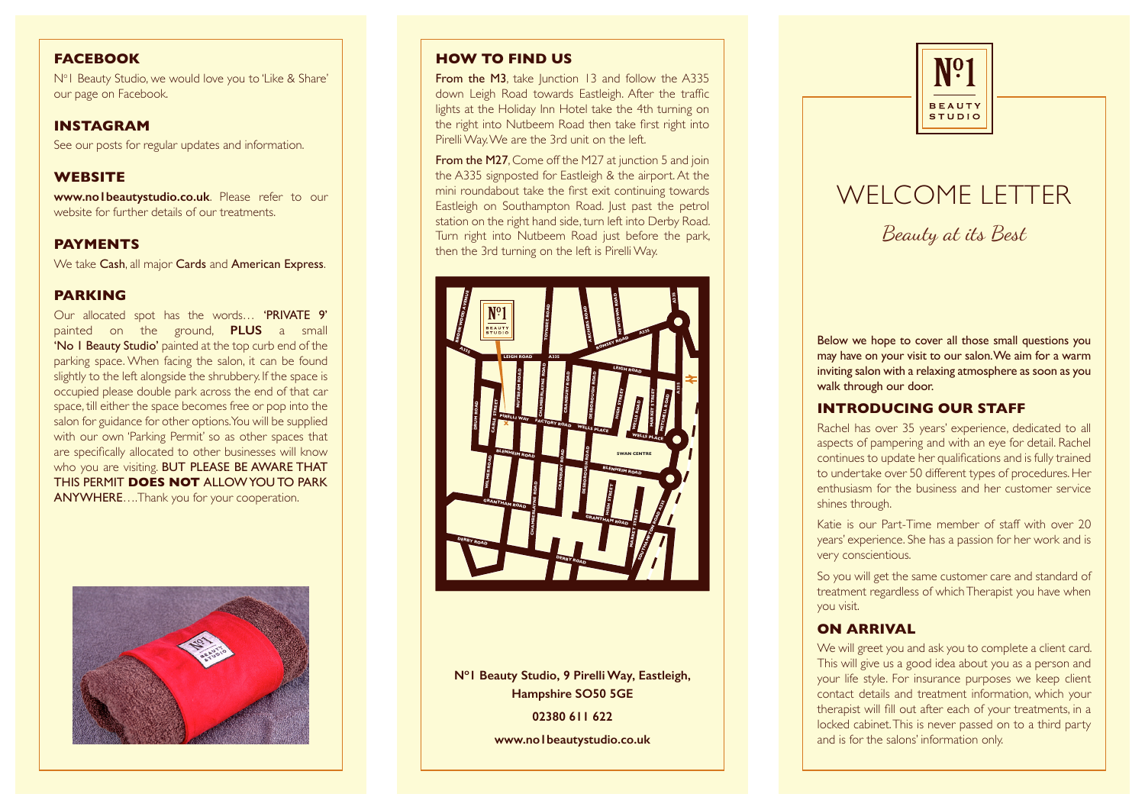# **FACEBOOK**

No 1 Beauty Studio, we would love you to 'Like & Share' our page on Facebook.

## **INSTAGRAM**

See our posts for regular updates and information.

## **WEBSITE**

**www.no1beautystudio.co.uk**. Please refer to our website for further details of our treatments.

# **PAYMENTS**

We take Cash, all major Cards and American Express. .

#### **PARKING**

Our allocated spot has the words… 'PRIVATE 9' painted on the ground, **PLUS** a small 'No 1 Beauty Studio' painted at the top curb end of the parking space. When facing the salon, it can be found slightly to the left alongside the shrubbery. If the space is occupied please double park across the end of that car space, till either the space becomes free or pop into the salon for guidance for other options. You will be supplied with our own 'Parking Permit' so as other spaces that are specifically allocated to other businesses will know who you are visiting. BUT PLEASE BE AWARE THAT THIS PERMIT **DOES NOT** ALLOW YOU TO PARK ANYWHERE….Thank you for your cooperation.



# **HOW TO FIND US**

From the M3, take Junction 13 and follow the A335 down Leigh Road towards Eastleigh. After the traffic lights at the Holiday Inn Hotel take the 4th turning on the right into Nutbeem Road then take first right into Pirelli Way. We are the 3rd unit on the left.

**From the M27.** Come off the M27 at junction 5 and join the A335 signposted for Eastleigh & the airport. At the mini roundabout take the first exit continuing towards Eastleigh on Southampton Road. Just past the petrol station on the right hand side, turn left into Derby Road. Turn right into Nutbeem Road just before the park, then the 3rd turning on the left is Pirelli Way.



**N o1 Beauty Studio, 9 Pirelli Way, Eastleigh, Hampshire SO50 5GE**

> **02380 611 622 www.no1beautystudio.co.uk**



# WELCOME LETTER

Beauty at its Best

Below we hope to cover all those small questions you may have on your visit to our salon. We aim for a warm inviting salon with a relaxing atmosphere as soon as you walk through our door.

# **INTRODUCING OUR STAFF**

Rachel has over 35 years' experience, dedicated to all aspects of pampering and with an eye for detail. Rachel continues to update her qualifications and is fully trained to undertake over 50 different types of procedures. Her enthusiasm for the business and her customer service shines through.

Katie is our Part-Time member of staff with over 20 years' experience. She has a passion for her work and is very conscientious.

So you will get the same customer care and standard of treatment regardless of which Therapist you have when you visit.

## **ON ARRIVAL**

We will greet you and ask you to complete a client card. This will give us a good idea about you as a person and your life style. For insurance purposes we keep client contact details and treatment information, which your therapist will fill out after each of your treatments, in a locked cabinet. This is never passed on to a third party and is for the salons' information only.